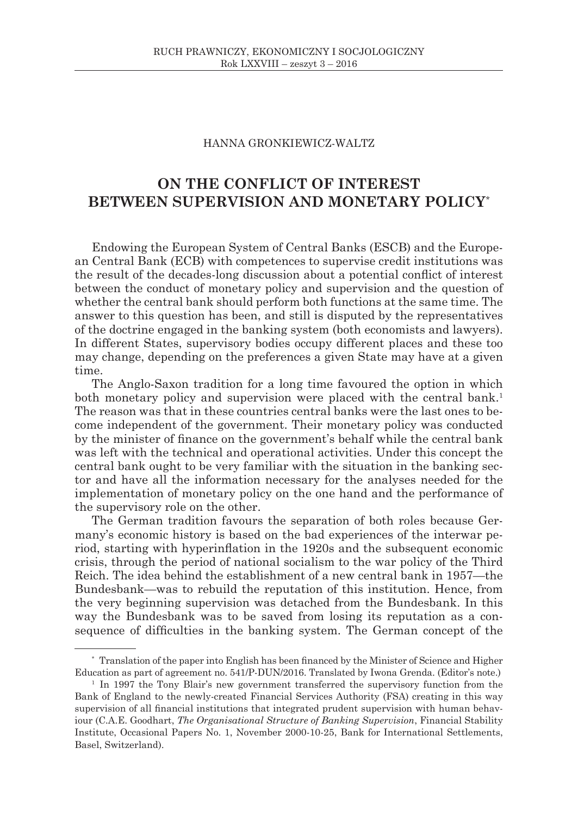## HANNA GRONKIEWICZ-WALTZ

## **ON THE CONFLICT OF INTEREST BETWEEN SUPERVISION AND MONETARY POLICY**\*

Endowing the European System of Central Banks (ESCB) and the European Central Bank (ECB) with competences to supervise credit institutions was the result of the decades-long discussion about a potential conflict of interest between the conduct of monetary policy and supervision and the question of whether the central bank should perform both functions at the same time. The answer to this question has been, and still is disputed by the representatives of the doctrine engaged in the banking system (both economists and lawyers). In different States, supervisory bodies occupy different places and these too may change, depending on the preferences a given State may have at a given time.

The Anglo-Saxon tradition for a long time favoured the option in which both monetary policy and supervision were placed with the central bank.<sup>1</sup> The reason was that in these countries central banks were the last ones to become independent of the government. Their monetary policy was conducted by the minister of finance on the government's behalf while the central bank was left with the technical and operational activities. Under this concept the central bank ought to be very familiar with the situation in the banking sector and have all the information necessary for the analyses needed for the implementation of monetary policy on the one hand and the performance of the supervisory role on the other.

The German tradition favours the separation of both roles because Germany's economic history is based on the bad experiences of the interwar period, starting with hyperinflation in the 1920s and the subsequent economic crisis, through the period of national socialism to the war policy of the Third Reich. The idea behind the establishment of a new central bank in 1957—the Bundesbank—was to rebuild the reputation of this institution. Hence, from the very beginning supervision was detached from the Bundesbank. In this way the Bundesbank was to be saved from losing its reputation as a consequence of difficulties in the banking system. The German concept of the

<sup>\*</sup> Translation of the paper into English has been financed by the Minister of Science and Higher Education as part of agreement no. 541/P-DUN/2016. Translated by Iwona Grenda. (Editor's note.)

<sup>1</sup> In 1997 the Tony Blair's new government transferred the supervisory function from the Bank of England to the newly-created Financial Services Authority (FSA) creating in this way supervision of all financial institutions that integrated prudent supervision with human behaviour (C.A.E. Goodhart, *The Organisational Structure of Banking Supervision*, Financial Stability Institute, Occasional Papers No. 1, November 2000-10-25, Bank for International Settlements, Basel, Switzerland).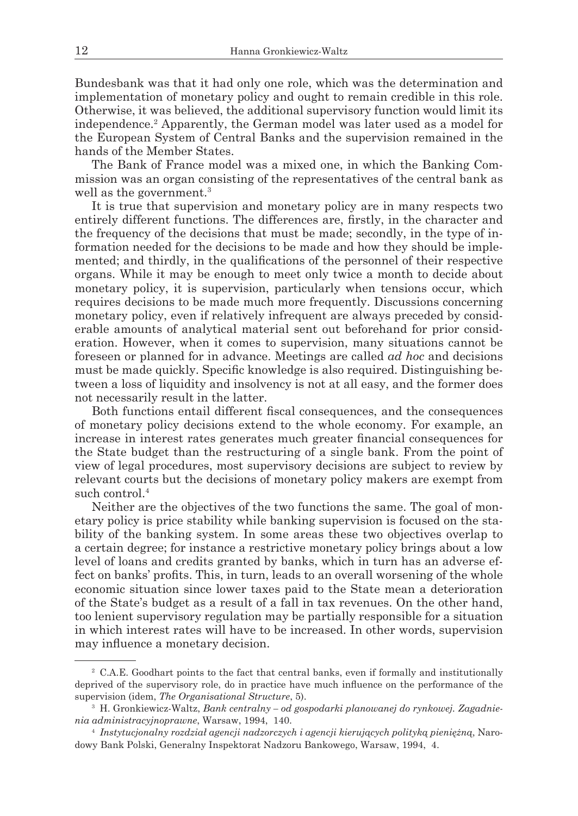Bundesbank was that it had only one role, which was the determination and implementation of monetary policy and ought to remain credible in this role. Otherwise, it was believed, the additional supervisory function would limit its independence.<sup>2</sup> Apparently, the German model was later used as a model for the European System of Central Banks and the supervision remained in the hands of the Member States.

The Bank of France model was a mixed one, in which the Banking Commission was an organ consisting of the representatives of the central bank as well as the government.<sup>3</sup>

It is true that supervision and monetary policy are in many respects two entirely different functions. The differences are, firstly, in the character and the frequency of the decisions that must be made; secondly, in the type of information needed for the decisions to be made and how they should be implemented; and thirdly, in the qualifications of the personnel of their respective organs. While it may be enough to meet only twice a month to decide about monetary policy, it is supervision, particularly when tensions occur, which requires decisions to be made much more frequently. Discussions concerning monetary policy, even if relatively infrequent are always preceded by considerable amounts of analytical material sent out beforehand for prior consideration. However, when it comes to supervision, many situations cannot be foreseen or planned for in advance. Meetings are called *ad hoc* and decisions must be made quickly. Specific knowledge is also required. Distinguishing between a loss of liquidity and insolvency is not at all easy, and the former does not necessarily result in the latter.

Both functions entail different fiscal consequences, and the consequences of monetary policy decisions extend to the whole economy. For example, an increase in interest rates generates much greater financial consequences for the State budget than the restructuring of a single bank. From the point of view of legal procedures, most supervisory decisions are subject to review by relevant courts but the decisions of monetary policy makers are exempt from such control.<sup>4</sup>

Neither are the objectives of the two functions the same. The goal of monetary policy is price stability while banking supervision is focused on the stability of the banking system. In some areas these two objectives overlap to a certain degree; for instance a restrictive monetary policy brings about a low level of loans and credits granted by banks, which in turn has an adverse effect on banks' profits. This, in turn, leads to an overall worsening of the whole economic situation since lower taxes paid to the State mean a deterioration of the State's budget as a result of a fall in tax revenues. On the other hand, too lenient supervisory regulation may be partially responsible for a situation in which interest rates will have to be increased. In other words, supervision may influence a monetary decision.

<sup>2</sup> C.A.E. Goodhart points to the fact that central banks, even if formally and institutionally deprived of the supervisory role, do in practice have much influence on the performance of the supervision (idem, *The Organisational Structure*, 5).

<sup>3</sup> H. Gronkiewicz-Waltz, *Bank centralny – od gospodarki planowanej do rynkowej. Zagadnienia administracyjnoprawne*, Warsaw, 1994, 140.

<sup>4</sup> *Instytucjonalny rozdział agencji nadzorczych i agencji kierujących polityką pieniężną*, Narodowy Bank Polski, Generalny Inspektorat Nadzoru Bankowego, Warsaw, 1994, 4.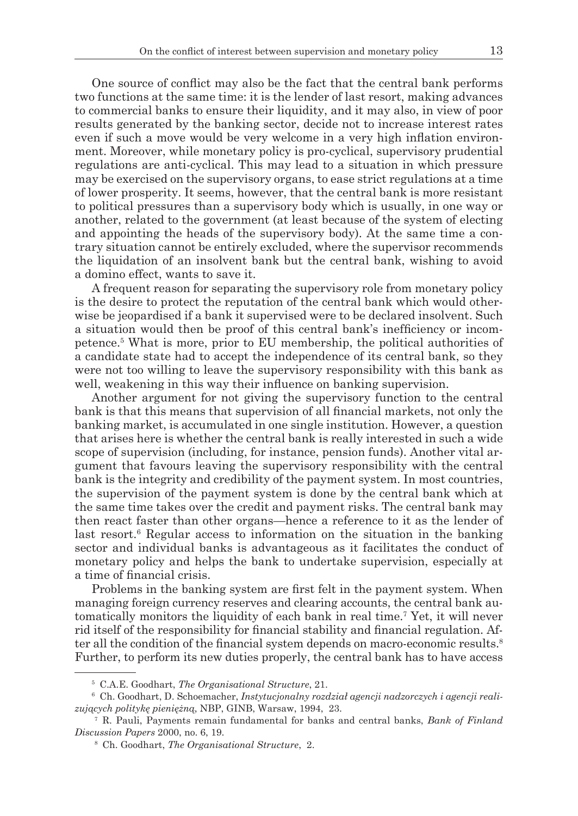One source of conflict may also be the fact that the central bank performs two functions at the same time: it is the lender of last resort, making advances to commercial banks to ensure their liquidity, and it may also, in view of poor results generated by the banking sector, decide not to increase interest rates even if such a move would be very welcome in a very high inflation environment. Moreover, while monetary policy is pro-cyclical, supervisory prudential regulations are anti-cyclical. This may lead to a situation in which pressure may be exercised on the supervisory organs, to ease strict regulations at a time of lower prosperity. It seems, however, that the central bank is more resistant to political pressures than a supervisory body which is usually, in one way or another, related to the government (at least because of the system of electing and appointing the heads of the supervisory body). At the same time a contrary situation cannot be entirely excluded, where the supervisor recommends the liquidation of an insolvent bank but the central bank, wishing to avoid a domino effect, wants to save it.

A frequent reason for separating the supervisory role from monetary policy is the desire to protect the reputation of the central bank which would otherwise be jeopardised if a bank it supervised were to be declared insolvent. Such a situation would then be proof of this central bank's inefficiency or incompetence.<sup>5</sup> What is more, prior to EU membership, the political authorities of a candidate state had to accept the independence of its central bank, so they were not too willing to leave the supervisory responsibility with this bank as well, weakening in this way their influence on banking supervision.

Another argument for not giving the supervisory function to the central bank is that this means that supervision of all financial markets, not only the banking market, is accumulated in one single institution. However, a question that arises here is whether the central bank is really interested in such a wide scope of supervision (including, for instance, pension funds). Another vital argument that favours leaving the supervisory responsibility with the central bank is the integrity and credibility of the payment system. In most countries, the supervision of the payment system is done by the central bank which at the same time takes over the credit and payment risks. The central bank may then react faster than other organs—hence a reference to it as the lender of last resort.<sup>6</sup> Regular access to information on the situation in the banking sector and individual banks is advantageous as it facilitates the conduct of monetary policy and helps the bank to undertake supervision, especially at a time of financial crisis.

Problems in the banking system are first felt in the payment system. When managing foreign currency reserves and clearing accounts, the central bank automatically monitors the liquidity of each bank in real time.<sup>7</sup> Yet, it will never rid itself of the responsibility for financial stability and financial regulation. After all the condition of the financial system depends on macro-economic results.<sup>8</sup> Further, to perform its new duties properly, the central bank has to have access

<sup>5</sup> C.A.E. Goodhart, *The Organisational Structure*, 21.

<sup>6</sup> Ch. Goodhart, D. Schoemacher, *Instytucjonalny rozdział agencji nadzorczych i agencji realizujących politykę pieniężną*, NBP, GINB, Warsaw, 1994, 23.

<sup>7</sup> R. Pauli, Payments remain fundamental for banks and central banks, *Bank of Finland Discussion Papers* 2000, no. 6, 19.

<sup>8</sup> Ch. Goodhart, *The Organisational Structure*, 2.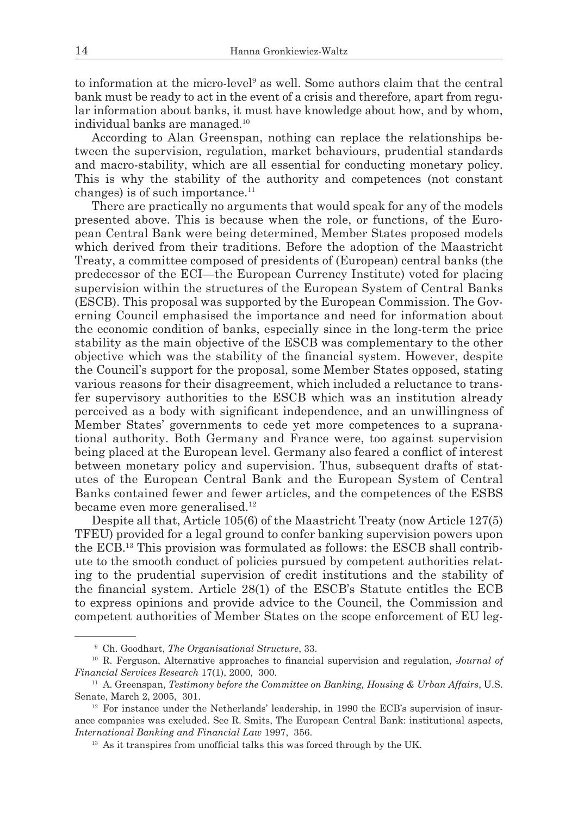to information at the micro-level<sup>9</sup> as well. Some authors claim that the central bank must be ready to act in the event of a crisis and therefore, apart from regular information about banks, it must have knowledge about how, and by whom, individual banks are managed.<sup>10</sup>

According to Alan Greenspan, nothing can replace the relationships between the supervision, regulation, market behaviours, prudential standards and macro-stability, which are all essential for conducting monetary policy. This is why the stability of the authority and competences (not constant changes) is of such importance.<sup>11</sup>

There are practically no arguments that would speak for any of the models presented above. This is because when the role, or functions, of the European Central Bank were being determined, Member States proposed models which derived from their traditions. Before the adoption of the Maastricht Treaty, a committee composed of presidents of (European) central banks (the predecessor of the ECI—the European Currency Institute) voted for placing supervision within the structures of the European System of Central Banks (ESCB). This proposal was supported by the European Commission. The Governing Council emphasised the importance and need for information about the economic condition of banks, especially since in the long-term the price stability as the main objective of the ESCB was complementary to the other objective which was the stability of the financial system. However, despite the Council's support for the proposal, some Member States opposed, stating various reasons for their disagreement, which included a reluctance to transfer supervisory authorities to the ESCB which was an institution already perceived as a body with significant independence, and an unwillingness of Member States' governments to cede yet more competences to a supranational authority. Both Germany and France were, too against supervision being placed at the European level. Germany also feared a conflict of interest between monetary policy and supervision. Thus, subsequent drafts of statutes of the European Central Bank and the European System of Central Banks contained fewer and fewer articles, and the competences of the ESBS became even more generalised.<sup>12</sup>

Despite all that, Article 105(6) of the Maastricht Treaty (now Article 127(5) TFEU) provided for a legal ground to confer banking supervision powers upon the ECB.13 This provision was formulated as follows: the ESCB shall contribute to the smooth conduct of policies pursued by competent authorities relating to the prudential supervision of credit institutions and the stability of the financial system. Article 28(1) of the ESCB's Statute entitles the ECB to express opinions and provide advice to the Council, the Commission and competent authorities of Member States on the scope enforcement of EU leg-

<sup>9</sup> Ch. Goodhart, *The Organisational Structure*, 33.

<sup>10</sup> R. Ferguson, Alternative approaches to financial supervision and regulation, *Journal of Financial Services Research* 17(1), 2000, 300.

<sup>11</sup> A. Greenspan, *Testimony before the Committee on Banking, Housing & Urban Affairs*, U.S. Senate, March 2, 2005, 301.

 $12$  For instance under the Netherlands' leadership, in 1990 the ECB's supervision of insurance companies was excluded. See R. Smits, The European Central Bank: institutional aspects, *International Banking and Financial Law* 1997, 356.

<sup>&</sup>lt;sup>13</sup> As it transpires from unofficial talks this was forced through by the UK.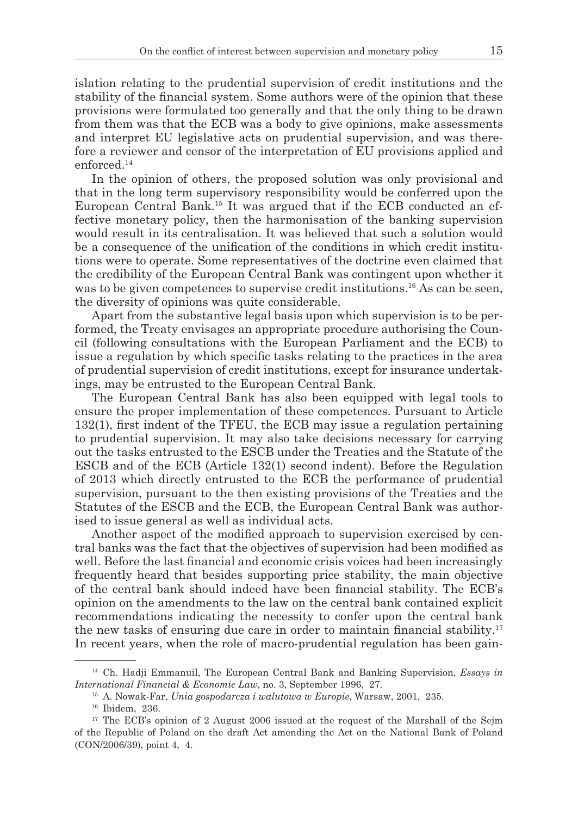islation relating to the prudential supervision of credit institutions and the stability of the financial system. Some authors were of the opinion that these provisions were formulated too generally and that the only thing to be drawn from them was that the ECB was a body to give opinions, make assessments and interpret EU legislative acts on prudential supervision, and was therefore a reviewer and censor of the interpretation of EU provisions applied and enforced.<sup>14</sup>

In the opinion of others, the proposed solution was only provisional and that in the long term supervisory responsibility would be conferred upon the European Central Bank.15 It was argued that if the ECB conducted an effective monetary policy, then the harmonisation of the banking supervision would result in its centralisation. It was believed that such a solution would be a consequence of the unification of the conditions in which credit institutions were to operate. Some representatives of the doctrine even claimed that the credibility of the European Central Bank was contingent upon whether it was to be given competences to supervise credit institutions.<sup>16</sup> As can be seen, the diversity of opinions was quite considerable.

Apart from the substantive legal basis upon which supervision is to be performed, the Treaty envisages an appropriate procedure authorising the Council (following consultations with the European Parliament and the ECB) to issue a regulation by which specific tasks relating to the practices in the area of prudential supervision of credit institutions, except for insurance undertakings, may be entrusted to the European Central Bank.

The European Central Bank has also been equipped with legal tools to ensure the proper implementation of these competences. Pursuant to Article 132(1), first indent of the TFEU, the ECB may issue a regulation pertaining to prudential supervision. It may also take decisions necessary for carrying out the tasks entrusted to the ESCB under the Treaties and the Statute of the ESCB and of the ECB (Article 132(1) second indent). Before the Regulation of 2013 which directly entrusted to the ECB the performance of prudential supervision, pursuant to the then existing provisions of the Treaties and the Statutes of the ESCB and the ECB, the European Central Bank was authorised to issue general as well as individual acts.

Another aspect of the modified approach to supervision exercised by central banks was the fact that the objectives of supervision had been modified as well. Before the last financial and economic crisis voices had been increasingly frequently heard that besides supporting price stability, the main objective of the central bank should indeed have been financial stability. The ECB's opinion on the amendments to the law on the central bank contained explicit recommendations indicating the necessity to confer upon the central bank the new tasks of ensuring due care in order to maintain financial stability.17 In recent years, when the role of macro-prudential regulation has been gain-

<sup>14</sup> Ch. Hadji Emmanuil, The European Central Bank and Banking Supervision, *Essays in International Financial & Economic Law*, no. 3, September 1996, 27.

<sup>15</sup> A. Nowak-Far, *Unia gospodarcza i walutowa w Europie*, Warsaw, 2001, 235.

<sup>16</sup> Ibidem, 236.

<sup>&</sup>lt;sup>17</sup> The ECB's opinion of 2 August 2006 issued at the request of the Marshall of the Sejm of the Republic of Poland on the draft Act amending the Act on the National Bank of Poland (CON/2006/39), point 4, 4.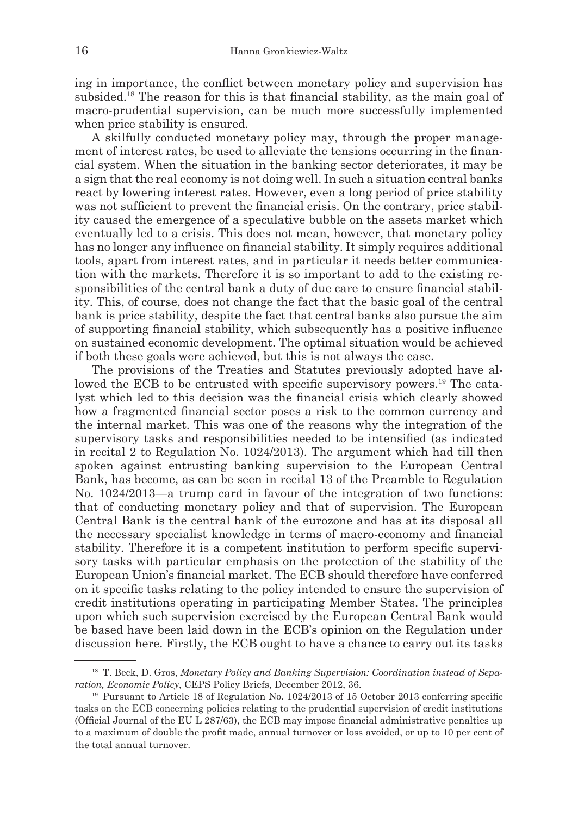ing in importance, the conflict between monetary policy and supervision has subsided.<sup>18</sup> The reason for this is that financial stability, as the main goal of macro-prudential supervision, can be much more successfully implemented when price stability is ensured.

A skilfully conducted monetary policy may, through the proper management of interest rates, be used to alleviate the tensions occurring in the financial system. When the situation in the banking sector deteriorates, it may be a sign that the real economy is not doing well. In such a situation central banks react by lowering interest rates. However, even a long period of price stability was not sufficient to prevent the financial crisis. On the contrary, price stability caused the emergence of a speculative bubble on the assets market which eventually led to a crisis. This does not mean, however, that monetary policy has no longer any influence on financial stability. It simply requires additional tools, apart from interest rates, and in particular it needs better communication with the markets. Therefore it is so important to add to the existing responsibilities of the central bank a duty of due care to ensure financial stability. This, of course, does not change the fact that the basic goal of the central bank is price stability, despite the fact that central banks also pursue the aim of supporting financial stability, which subsequently has a positive influence on sustained economic development. The optimal situation would be achieved if both these goals were achieved, but this is not always the case.

The provisions of the Treaties and Statutes previously adopted have allowed the ECB to be entrusted with specific supervisory powers.<sup>19</sup> The catalyst which led to this decision was the financial crisis which clearly showed how a fragmented financial sector poses a risk to the common currency and the internal market. This was one of the reasons why the integration of the supervisory tasks and responsibilities needed to be intensified (as indicated in recital 2 to Regulation No. 1024/2013). The argument which had till then spoken against entrusting banking supervision to the European Central Bank, has become, as can be seen in recital 13 of the Preamble to Regulation No. 1024/2013—a trump card in favour of the integration of two functions: that of conducting monetary policy and that of supervision. The European Central Bank is the central bank of the eurozone and has at its disposal all the necessary specialist knowledge in terms of macro-economy and financial stability. Therefore it is a competent institution to perform specific supervisory tasks with particular emphasis on the protection of the stability of the European Union's financial market. The ECB should therefore have conferred on it specific tasks relating to the policy intended to ensure the supervision of credit institutions operating in participating Member States. The principles upon which such supervision exercised by the European Central Bank would be based have been laid down in the ECB's opinion on the Regulation under discussion here. Firstly, the ECB ought to have a chance to carry out its tasks

<sup>&</sup>lt;sup>18</sup> T. Beck, D. Gros, *Monetary Policy and Banking Supervision: Coordination instead of Separation, Economic Policy*, CEPS Policy Briefs, December 2012, 36.

<sup>&</sup>lt;sup>19</sup> Pursuant to Article 18 of Regulation No. 1024/2013 of 15 October 2013 conferring specific tasks on the ECB concerning policies relating to the prudential supervision of credit institutions (Official Journal of the EU L 287/63), the ECB may impose financial administrative penalties up to a maximum of double the profit made, annual turnover or loss avoided, or up to 10 per cent of the total annual turnover.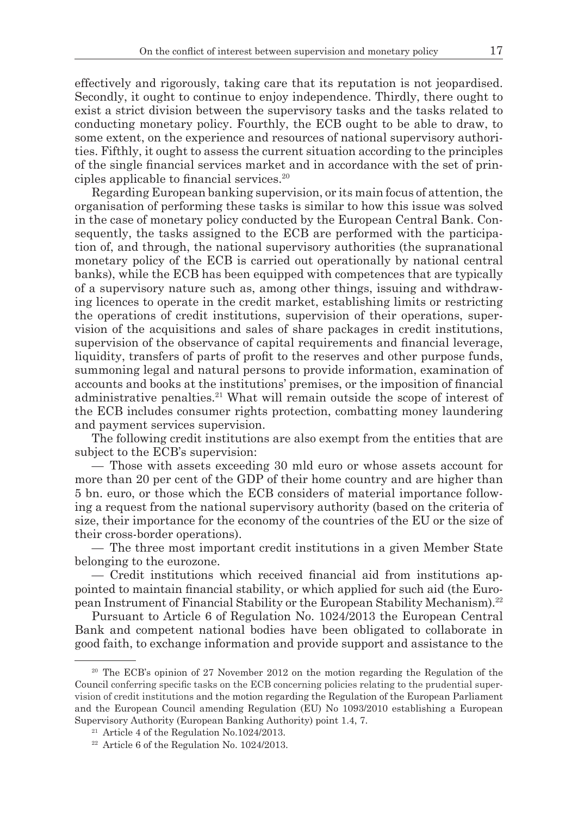effectively and rigorously, taking care that its reputation is not jeopardised. Secondly, it ought to continue to enjoy independence. Thirdly, there ought to exist a strict division between the supervisory tasks and the tasks related to conducting monetary policy. Fourthly, the ECB ought to be able to draw, to some extent, on the experience and resources of national supervisory authorities. Fifthly, it ought to assess the current situation according to the principles of the single financial services market and in accordance with the set of principles applicable to financial services.20

Regarding European banking supervision, or its main focus of attention, the organisation of performing these tasks is similar to how this issue was solved in the case of monetary policy conducted by the European Central Bank. Consequently, the tasks assigned to the ECB are performed with the participation of, and through, the national supervisory authorities (the supranational monetary policy of the ECB is carried out operationally by national central banks), while the ECB has been equipped with competences that are typically of a supervisory nature such as, among other things, issuing and withdrawing licences to operate in the credit market, establishing limits or restricting the operations of credit institutions, supervision of their operations, supervision of the acquisitions and sales of share packages in credit institutions, supervision of the observance of capital requirements and financial leverage, liquidity, transfers of parts of profit to the reserves and other purpose funds, summoning legal and natural persons to provide information, examination of accounts and books at the institutions' premises, or the imposition of financial administrative penalties.<sup>21</sup> What will remain outside the scope of interest of the ECB includes consumer rights protection, combatting money laundering and payment services supervision.

The following credit institutions are also exempt from the entities that are subject to the ECB's supervision:

— Those with assets exceeding 30 mld euro or whose assets account for more than 20 per cent of the GDP of their home country and are higher than 5 bn. euro, or those which the ECB considers of material importance following a request from the national supervisory authority (based on the criteria of size, their importance for the economy of the countries of the EU or the size of their cross-border operations).

— The three most important credit institutions in a given Member State belonging to the eurozone.

— Credit institutions which received financial aid from institutions appointed to maintain financial stability, or which applied for such aid (the European Instrument of Financial Stability or the European Stability Mechanism).22

Pursuant to Article 6 of Regulation No. 1024/2013 the European Central Bank and competent national bodies have been obligated to collaborate in good faith, to exchange information and provide support and assistance to the

<sup>&</sup>lt;sup>20</sup> The ECB's opinion of 27 November 2012 on the motion regarding the Regulation of the Council conferring specific tasks on the ECB concerning policies relating to the prudential supervision of credit institutions and the motion regarding the Regulation of the European Parliament and the European Council amending Regulation (EU) No 1093/2010 establishing a European Supervisory Authority (European Banking Authority) point 1.4, 7.

 $21$  Article 4 of the Regulation No.1024/2013.

 $22$  Article 6 of the Regulation No. 1024/2013.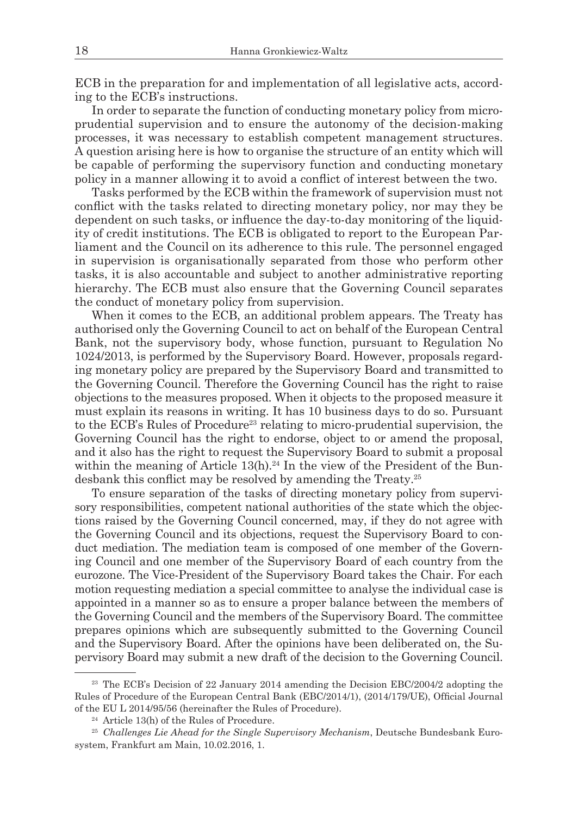ECB in the preparation for and implementation of all legislative acts, according to the ECB's instructions.

In order to separate the function of conducting monetary policy from microprudential supervision and to ensure the autonomy of the decision-making processes, it was necessary to establish competent management structures. A question arising here is how to organise the structure of an entity which will be capable of performing the supervisory function and conducting monetary policy in a manner allowing it to avoid a conflict of interest between the two.

Tasks performed by the ECB within the framework of supervision must not conflict with the tasks related to directing monetary policy, nor may they be dependent on such tasks, or influence the day-to-day monitoring of the liquidity of credit institutions. The ECB is obligated to report to the European Parliament and the Council on its adherence to this rule. The personnel engaged in supervision is organisationally separated from those who perform other tasks, it is also accountable and subject to another administrative reporting hierarchy. The ECB must also ensure that the Governing Council separates the conduct of monetary policy from supervision.

When it comes to the ECB, an additional problem appears. The Treaty has authorised only the Governing Council to act on behalf of the European Central Bank, not the supervisory body, whose function, pursuant to Regulation No 1024/2013, is performed by the Supervisory Board. However, proposals regarding monetary policy are prepared by the Supervisory Board and transmitted to the Governing Council. Therefore the Governing Council has the right to raise objections to the measures proposed. When it objects to the proposed measure it must explain its reasons in writing. It has 10 business days to do so. Pursuant to the ECB's Rules of Procedure<sup>23</sup> relating to micro-prudential supervision, the Governing Council has the right to endorse, object to or amend the proposal, and it also has the right to request the Supervisory Board to submit a proposal within the meaning of Article  $13(h).^{24}$  In the view of the President of the Bundesbank this conflict may be resolved by amending the Treaty.25

To ensure separation of the tasks of directing monetary policy from supervisory responsibilities, competent national authorities of the state which the objections raised by the Governing Council concerned, may, if they do not agree with the Governing Council and its objections, request the Supervisory Board to conduct mediation. The mediation team is composed of one member of the Governing Council and one member of the Supervisory Board of each country from the eurozone. The Vice-President of the Supervisory Board takes the Chair. For each motion requesting mediation a special committee to analyse the individual case is appointed in a manner so as to ensure a proper balance between the members of the Governing Council and the members of the Supervisory Board. The committee prepares opinions which are subsequently submitted to the Governing Council and the Supervisory Board. After the opinions have been deliberated on, the Supervisory Board may submit a new draft of the decision to the Governing Council.

<sup>&</sup>lt;sup>23</sup> The ECB's Decision of 22 January 2014 amending the Decision EBC/2004/2 adopting the Rules of Procedure of the European Central Bank (EBC/2014/1), (2014/179/UE), Official Journal of the EU L 2014/95/56 (hereinafter the Rules of Procedure).

<sup>&</sup>lt;sup>24</sup> Article 13(h) of the Rules of Procedure.

<sup>25</sup> *Challenges Lie Ahead for the Single Supervisory Mechanism*, Deutsche Bundesbank Eurosystem, Frankfurt am Main, 10.02.2016, 1.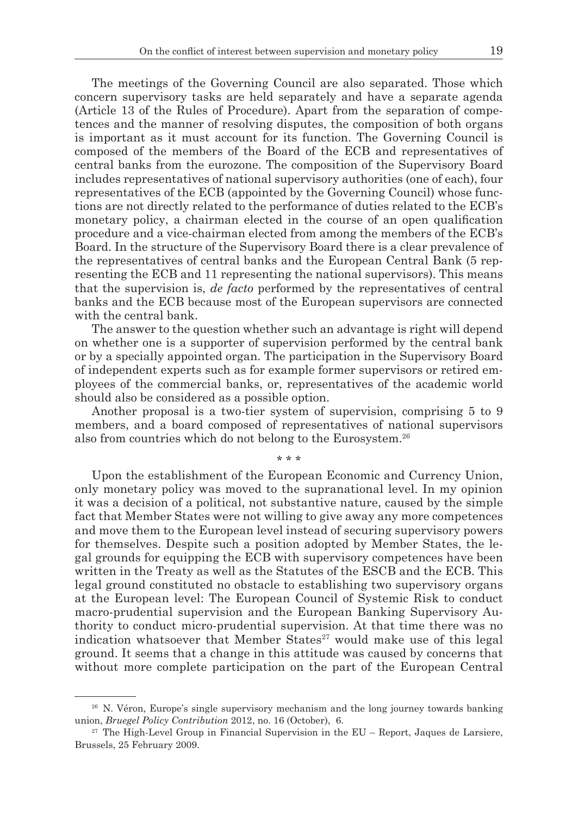The meetings of the Governing Council are also separated. Those which concern supervisory tasks are held separately and have a separate agenda (Article 13 of the Rules of Procedure). Apart from the separation of competences and the manner of resolving disputes, the composition of both organs is important as it must account for its function. The Governing Council is composed of the members of the Board of the ECB and representatives of central banks from the eurozone. The composition of the Supervisory Board includes representatives of national supervisory authorities (one of each), four representatives of the ECB (appointed by the Governing Council) whose functions are not directly related to the performance of duties related to the ECB's monetary policy, a chairman elected in the course of an open qualification procedure and a vice-chairman elected from among the members of the ECB's Board. In the structure of the Supervisory Board there is a clear prevalence of the representatives of central banks and the European Central Bank (5 representing the ECB and 11 representing the national supervisors). This means that the supervision is, *de facto* performed by the representatives of central banks and the ECB because most of the European supervisors are connected with the central bank.

The answer to the question whether such an advantage is right will depend on whether one is a supporter of supervision performed by the central bank or by a specially appointed organ. The participation in the Supervisory Board of independent experts such as for example former supervisors or retired employees of the commercial banks, or, representatives of the academic world should also be considered as a possible option.

Another proposal is a two-tier system of supervision, comprising 5 to 9 members, and a board composed of representatives of national supervisors also from countries which do not belong to the Eurosystem.<sup>26</sup>

\* \* \*

Upon the establishment of the European Economic and Currency Union, only monetary policy was moved to the supranational level. In my opinion it was a decision of a political, not substantive nature, caused by the simple fact that Member States were not willing to give away any more competences and move them to the European level instead of securing supervisory powers for themselves. Despite such a position adopted by Member States, the legal grounds for equipping the ECB with supervisory competences have been written in the Treaty as well as the Statutes of the ESCB and the ECB. This legal ground constituted no obstacle to establishing two supervisory organs at the European level: The European Council of Systemic Risk to conduct macro-prudential supervision and the European Banking Supervisory Authority to conduct micro-prudential supervision. At that time there was no indication whatsoever that Member States $27$  would make use of this legal ground. It seems that a change in this attitude was caused by concerns that without more complete participation on the part of the European Central

<sup>&</sup>lt;sup>26</sup> N. Véron, Europe's single supervisory mechanism and the long journey towards banking union, *Bruegel Policy Contribution* 2012, no. 16 (October), 6.

 $27$  The High-Level Group in Financial Supervision in the EU – Report, Jaques de Larsiere, Brussels, 25 February 2009.